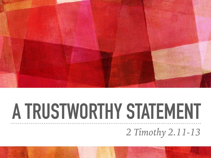

# **A TRUSTWORTHY STATEMENT** *2 Timothy 2.11-13*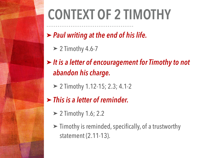# **CONTEXT OF 2 TIMOTHY**

- ➤ *Paul writing at the end of his life.* 
	- $> 2$  Timothy 4.6-7
- ➤ *It is a letter of encouragement for Timothy to not abandon his charge.* 
	- ➤ 2 Timothy 1.12-15; 2.3; 4.1-2
- ➤ *This is a letter of reminder.* 
	- ➤ 2 Timothy 1.6; 2.2
	- ➤ Timothy is reminded, specifically, of a trustworthy statement (2.11-13).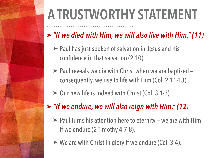# **A TRUSTWORTHY STATEMENT**

### ➤ *"If we died with Him, we will also live with Him." (11)*

- ➤ Paul has just spoken of salvation in Jesus and his confidence in that salvation (2.10).
- ► Paul reveals we die with Christ when we are baptized consequently, we rise to life with Him (Col. 2.11-13).
- ➤ Our new life is indeed with Christ (Col. 3.1-3).

#### ➤ *"If we endure, we will also reign with Him." (12)*

- ➤ Paul turns his attention here to eternity we are with Him if we endure (2 Timothy 4.7-8).
- ➤ We are with Christ in glory if we endure (Col. 3.4).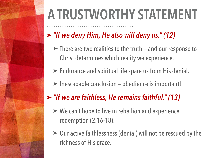# **A TRUSTWORTHY STATEMENT**

### ➤ *"If we deny Him, He also will deny us." (12)*

- ➤ There are two realities to the truth and our response to Christ determines which reality we experience.
- ➤ Endurance and spiritual life spare us from His denial.
- ➤ Inescapable conclusion obedience is important!
- ➤ *"If we are faithless, He remains faithful." (13)* 
	- ➤ We can't hope to live in rebellion and experience redemption (2.16-18).
	- ➤ Our active faithlessness (denial) will not be rescued by the richness of His grace.